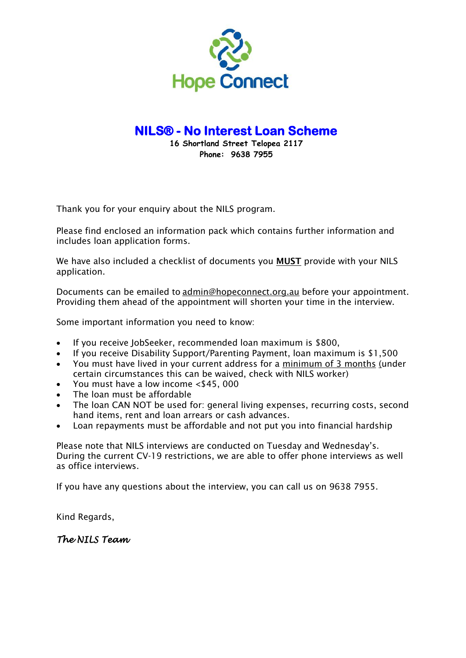

 **16 Shortland Street Telopea 2117 Phone: 9638 7955** 

Thank you for your enquiry about the NILS program.

Please find enclosed an information pack which contains further information and includes loan application forms.

We have also included a checklist of documents you **MUST** provide with your NILS application.

Documents can be emailed to admin@hopeconnect.org.au before your appointment. Providing them ahead of the appointment will shorten your time in the interview.

Some important information you need to know:

- If you receive JobSeeker, recommended loan maximum is \$800,
- If you receive Disability Support/Parenting Payment, loan maximum is \$1,500
- You must have lived in your current address for a minimum of 3 months (under certain circumstances this can be waived, check with NILS worker)
- You must have a low income <\$45, 000
- The loan must be affordable
- The loan CAN NOT be used for: general living expenses, recurring costs, second hand items, rent and loan arrears or cash advances.
- Loan repayments must be affordable and not put you into financial hardship

Please note that NILS interviews are conducted on Tuesday and Wednesday's. During the current CV-19 restrictions, we are able to offer phone interviews as well as office interviews.

If you have any questions about the interview, you can call us on 9638 7955.

Kind Regards,

*The NILS Team*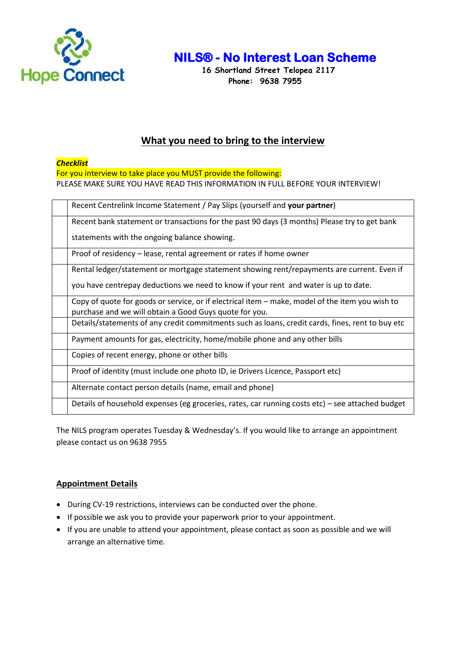

 **16 Shortland Street Telopea 2117 Phone: 9638 7955** 

## **What you need to bring to the interview**

### *Checklist*

For you interview to take place you MUST provide the following: PLEASE MAKE SURE YOU HAVE READ THIS INFORMATION IN FULL BEFORE YOUR INTERVIEW!

| Recent Centrelink Income Statement / Pay Slips (yourself and your partner)                       |
|--------------------------------------------------------------------------------------------------|
| Recent bank statement or transactions for the past 90 days (3 months) Please try to get bank     |
| statements with the ongoing balance showing.                                                     |
| Proof of residency – lease, rental agreement or rates if home owner                              |
| Rental ledger/statement or mortgage statement showing rent/repayments are current. Even if       |
| you have centrepay deductions we need to know if your rent and water is up to date.              |
| Copy of quote for goods or service, or if electrical item – make, model of the item you wish to  |
| purchase and we will obtain a Good Guys quote for you.                                           |
| Details/statements of any credit commitments such as loans, credit cards, fines, rent to buy etc |
| Payment amounts for gas, electricity, home/mobile phone and any other bills                      |
| Copies of recent energy, phone or other bills                                                    |
| Proof of identity (must include one photo ID, ie Drivers Licence, Passport etc)                  |
| Alternate contact person details (name, email and phone)                                         |
| Details of household expenses (eg groceries, rates, car running costs etc) – see attached budget |

The NILS program operates Tuesday & Wednesday's. If you would like to arrange an appointment please contact us on 9638 7955

### **Appointment Details**

- During CV-19 restrictions, interviews can be conducted over the phone.
- If possible we ask you to provide your paperwork prior to your appointment.
- If you are unable to attend your appointment, please contact as soon as possible and we will arrange an alternative time.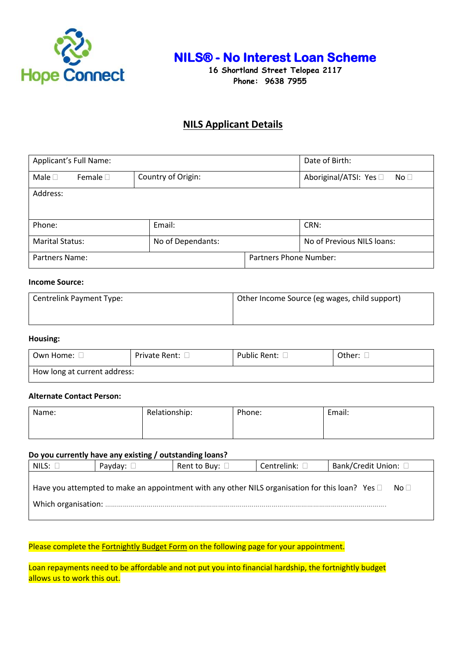

**Hope Connect** 16 Shortland Street Telopea 2117  **Phone: 9638 7955** 

## **NILS Applicant Details**

| Applicant's Full Name:       |                    | Date of Birth:                            |  |  |
|------------------------------|--------------------|-------------------------------------------|--|--|
| Male $\Box$<br>Female $\Box$ | Country of Origin: | Aboriginal/ATSI: Yes □<br>No <sub>1</sub> |  |  |
| Address:                     |                    |                                           |  |  |
| Phone:                       | Email:             | CRN:                                      |  |  |
| <b>Marital Status:</b>       | No of Dependants:  | No of Previous NILS loans:                |  |  |
| Partners Name:               |                    | <b>Partners Phone Number:</b>             |  |  |

#### **Income Source:**

| Centrelink Payment Type: | Other Income Source (eg wages, child support) |
|--------------------------|-----------------------------------------------|
|                          |                                               |

#### **Housing:**

| Own Home: L                  | Private Rent: ∟ | Public Rent: L | Other: |  |
|------------------------------|-----------------|----------------|--------|--|
| How long at current address: |                 |                |        |  |

#### **Alternate Contact Person:**

| Name: | Relationship: | Phone: | Email: |
|-------|---------------|--------|--------|
|       |               |        |        |

#### **Do you currently have any existing / outstanding loans?**

| NILS:               | Payday: $\square$ | Rent to Buy: $\square$                                                                               | Centrelink: □ | Bank/Credit Union: □ |
|---------------------|-------------------|------------------------------------------------------------------------------------------------------|---------------|----------------------|
| Which organisation: |                   | Have you attempted to make an appointment with any other NILS organisation for this loan? Yes $\Box$ |               | No $\Box$            |

### Please complete the **Fortnightly Budget Form** on the following page for your appointment.

Loan repayments need to be affordable and not put you into financial hardship, the fortnightly budget allows us to work this out.